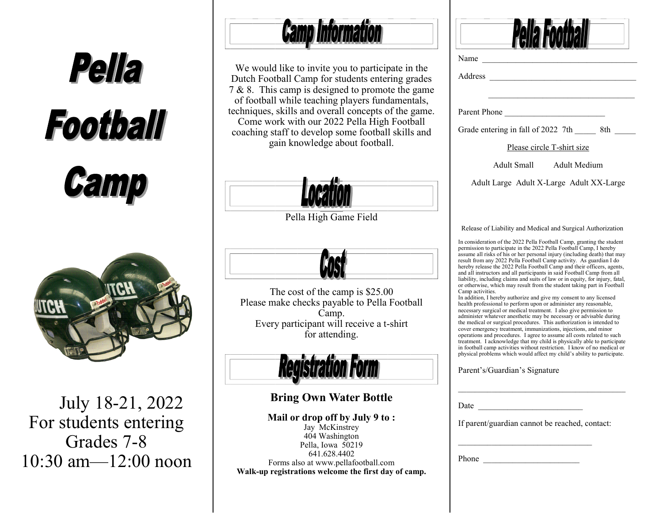

July 18-21, 2022 For students entering Grades 7-8 10:30 am—12:00 noon **Camp Information** 

We would like to invite you to participate in the Dutch Football Camp for students entering grades 7 & 8. This camp is designed to promote the game of football while teaching players fundamentals, techniques, skills and overall concepts of the game. Come work with our 2022 Pella High Football coaching staff to develop some football skills and gain knowledge about football.



Pella High Game Field



The cost of the camp is \$25.00 Please make checks payable to Pella Football Camp. Every participant will receive a t-shirt for attending.



## **Bring Own Water Bottle**

**Mail or drop off by July 9 to :** Jay McKinstrey 404 Washington Pella, Iowa 50219 641.628.4402 Forms also at www.pellafootball.com **Walk-up registrations welcome the first day of camp.** 

| Address<br>Please circle T-shirt size<br>Adult Small Adult Medium<br>Adult Large Adult X-Large Adult XX-Large<br>Release of Liability and Medical and Surgical Authorization                                                                                                                                                                                                                                                                                                                                                                                                                                                                                                                                                                                                                                                                                                                                                                                 |
|--------------------------------------------------------------------------------------------------------------------------------------------------------------------------------------------------------------------------------------------------------------------------------------------------------------------------------------------------------------------------------------------------------------------------------------------------------------------------------------------------------------------------------------------------------------------------------------------------------------------------------------------------------------------------------------------------------------------------------------------------------------------------------------------------------------------------------------------------------------------------------------------------------------------------------------------------------------|
| Parent Phone <b>Paradella</b><br>Grade entering in fall of 2022 7th ________ 8th _______<br>In consideration of the 2022 Pella Football Camp, granting the student<br>permission to participate in the 2022 Pella Football Camp, I hereby<br>assume all risks of his or her personal injury (including death) that may<br>result from any 2022 Pella Football Camp activity. As guardian I do<br>hereby release the 2022 Pella Football Camp and their officers, agents,<br>and all instructors and all participants in said Football Camp from all                                                                                                                                                                                                                                                                                                                                                                                                          |
|                                                                                                                                                                                                                                                                                                                                                                                                                                                                                                                                                                                                                                                                                                                                                                                                                                                                                                                                                              |
|                                                                                                                                                                                                                                                                                                                                                                                                                                                                                                                                                                                                                                                                                                                                                                                                                                                                                                                                                              |
|                                                                                                                                                                                                                                                                                                                                                                                                                                                                                                                                                                                                                                                                                                                                                                                                                                                                                                                                                              |
|                                                                                                                                                                                                                                                                                                                                                                                                                                                                                                                                                                                                                                                                                                                                                                                                                                                                                                                                                              |
|                                                                                                                                                                                                                                                                                                                                                                                                                                                                                                                                                                                                                                                                                                                                                                                                                                                                                                                                                              |
|                                                                                                                                                                                                                                                                                                                                                                                                                                                                                                                                                                                                                                                                                                                                                                                                                                                                                                                                                              |
| liability, including claims and suits of law or in equity, for injury, fatal,<br>or otherwise, which may result from the student taking part in Football<br>Camp activities.<br>In addition, I hereby authorize and give my consent to any licensed<br>health professional to perform upon or administer any reasonable,<br>necessary surgical or medical treatment. I also give permission to<br>administer whatever anesthetic may be necessary or advisable during the medical or surgical procedures. This authorization is intended to<br>cover emergency treatment, immunizations, injections, and minor<br>operations and procedures. I agree to assume all costs related to such<br>treatment. I acknowledge that my child is physically able to participate<br>in football camp activities without restriction. I know of no medical or<br>physical problems which would affect my child's ability to participate.<br>Parent's/Guardian's Signature |

Phone